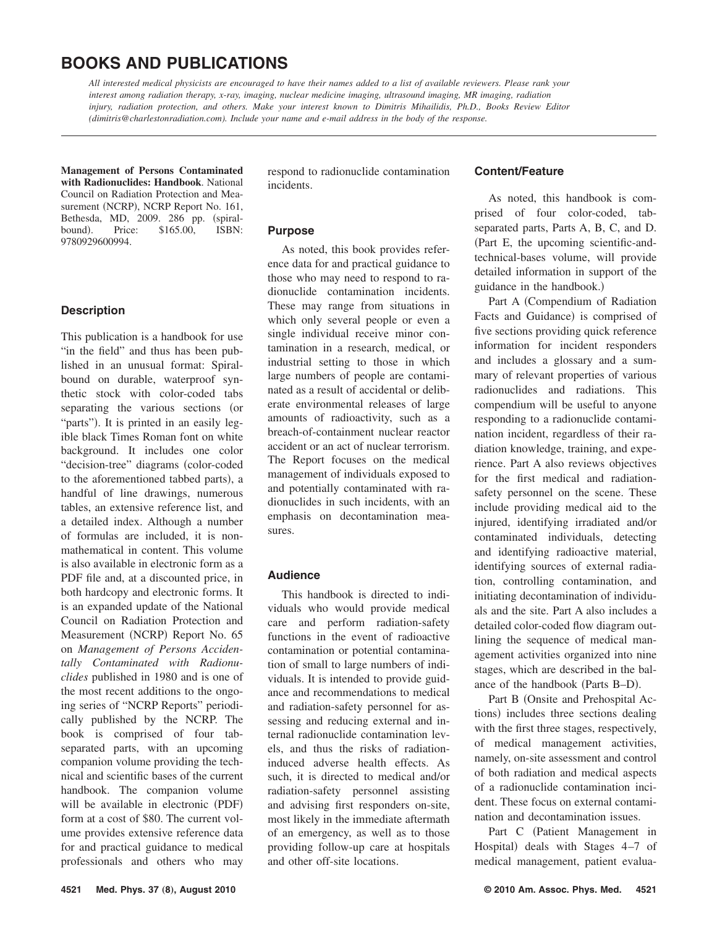# **BOOKS AND PUBLICATIONS**

*All interested medical physicists are encouraged to have their names added to a list of available reviewers. Please rank your interest among radiation therapy, x-ray, imaging, nuclear medicine imaging, ultrasound imaging, MR imaging, radiation injury, radiation protection, and others. Make your interest known to Dimitris Mihailidis, Ph.D., Books Review Editor (dimitris@charlestonradiation.com). Include your name and e-mail address in the body of the response.*

**Management of Persons Contaminated with Radionuclides: Handbook**. National Council on Radiation Protection and Measurement (NCRP), NCRP Report No. 161, Bethesda, MD, 2009. 286 pp. (spiral-<br>bound). Price: \$165.00, ISBN: bound). Price: \$165.00, 9780929600994.

### **Description**

This publication is a handbook for use "in the field" and thus has been published in an unusual format: Spiralbound on durable, waterproof synthetic stock with color-coded tabs separating the various sections (or "parts"). It is printed in an easily legible black Times Roman font on white background. It includes one color "decision-tree" diagrams (color-coded to the aforementioned tabbed parts), a handful of line drawings, numerous tables, an extensive reference list, and a detailed index. Although a number of formulas are included, it is nonmathematical in content. This volume is also available in electronic form as a PDF file and, at a discounted price, in both hardcopy and electronic forms. It is an expanded update of the National Council on Radiation Protection and Measurement (NCRP) Report No. 65 on *Management of Persons Accidentally Contaminated with Radionuclides* published in 1980 and is one of the most recent additions to the ongoing series of "NCRP Reports" periodically published by the NCRP. The book is comprised of four tabseparated parts, with an upcoming companion volume providing the technical and scientific bases of the current handbook. The companion volume will be available in electronic (PDF) form at a cost of \$80. The current volume provides extensive reference data for and practical guidance to medical professionals and others who may

respond to radionuclide contamination incidents.

# **Purpose**

As noted, this book provides reference data for and practical guidance to those who may need to respond to radionuclide contamination incidents. These may range from situations in which only several people or even a single individual receive minor contamination in a research, medical, or industrial setting to those in which large numbers of people are contaminated as a result of accidental or deliberate environmental releases of large amounts of radioactivity, such as a breach-of-containment nuclear reactor accident or an act of nuclear terrorism. The Report focuses on the medical management of individuals exposed to and potentially contaminated with radionuclides in such incidents, with an emphasis on decontamination measures.

# **Audience**

This handbook is directed to individuals who would provide medical care and perform radiation-safety functions in the event of radioactive contamination or potential contamination of small to large numbers of individuals. It is intended to provide guidance and recommendations to medical and radiation-safety personnel for assessing and reducing external and internal radionuclide contamination levels, and thus the risks of radiationinduced adverse health effects. As such, it is directed to medical and/or radiation-safety personnel assisting and advising first responders on-site, most likely in the immediate aftermath of an emergency, as well as to those providing follow-up care at hospitals and other off-site locations.

# **Content/Feature**

As noted, this handbook is comprised of four color-coded, tabseparated parts, Parts A, B, C, and D. Part E, the upcoming scientific-andtechnical-bases volume, will provide detailed information in support of the guidance in the handbook.)

Part A Compendium of Radiation Facts and Guidance) is comprised of five sections providing quick reference information for incident responders and includes a glossary and a summary of relevant properties of various radionuclides and radiations. This compendium will be useful to anyone responding to a radionuclide contamination incident, regardless of their radiation knowledge, training, and experience. Part A also reviews objectives for the first medical and radiationsafety personnel on the scene. These include providing medical aid to the injured, identifying irradiated and/or contaminated individuals, detecting and identifying radioactive material, identifying sources of external radiation, controlling contamination, and initiating decontamination of individuals and the site. Part A also includes a detailed color-coded flow diagram outlining the sequence of medical management activities organized into nine stages, which are described in the balance of the handbook (Parts B–D).

Part B (Onsite and Prehospital Actions) includes three sections dealing with the first three stages, respectively, of medical management activities, namely, on-site assessment and control of both radiation and medical aspects of a radionuclide contamination incident. These focus on external contamination and decontamination issues.

Part C (Patient Management in Hospital) deals with Stages 4-7 of medical management, patient evalua